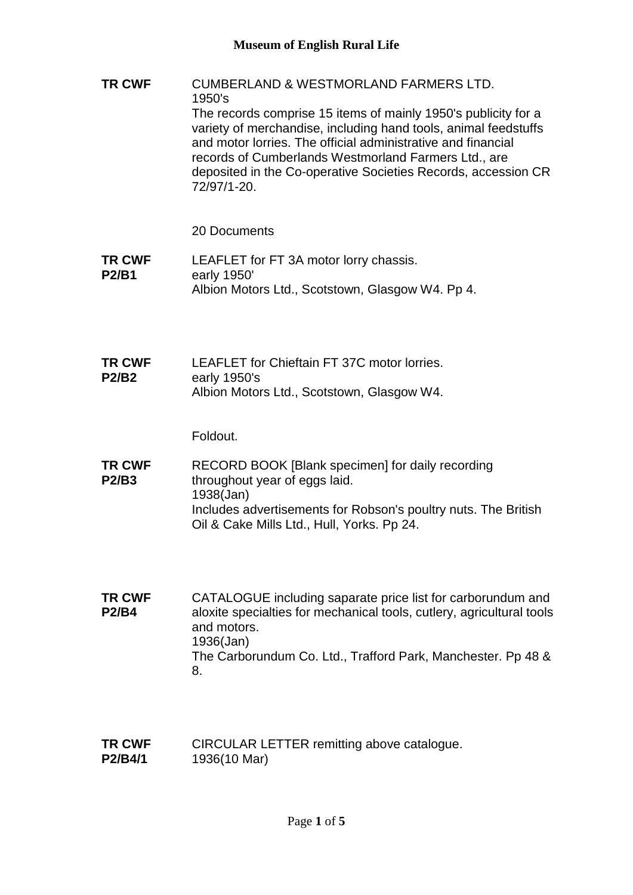**TR CWF** CUMBERLAND & WESTMORLAND FARMERS LTD. 1950's The records comprise 15 items of mainly 1950's publicity for a variety of merchandise, including hand tools, animal feedstuffs and motor lorries. The official administrative and financial records of Cumberlands Westmorland Farmers Ltd., are deposited in the Co-operative Societies Records, accession CR 72/97/1-20.

## 20 Documents

- **TR CWF P2/B1** LEAFLET for FT 3A motor lorry chassis. early 1950' Albion Motors Ltd., Scotstown, Glasgow W4. Pp 4.
- **TR CWF P2/B2** LEAFLET for Chieftain FT 37C motor lorries. early 1950's Albion Motors Ltd., Scotstown, Glasgow W4.

Foldout.

- **TR CWF P2/B3** RECORD BOOK [Blank specimen] for daily recording throughout year of eggs laid. 1938(Jan) Includes advertisements for Robson's poultry nuts. The British Oil & Cake Mills Ltd., Hull, Yorks. Pp 24.
- **TR CWF P2/B4** CATALOGUE including saparate price list for carborundum and aloxite specialties for mechanical tools, cutlery, agricultural tools and motors. 1936(Jan) The Carborundum Co. Ltd., Trafford Park, Manchester. Pp 48 & 8.
- **TR CWF P2/B4/1** CIRCULAR LETTER remitting above catalogue. 1936(10 Mar)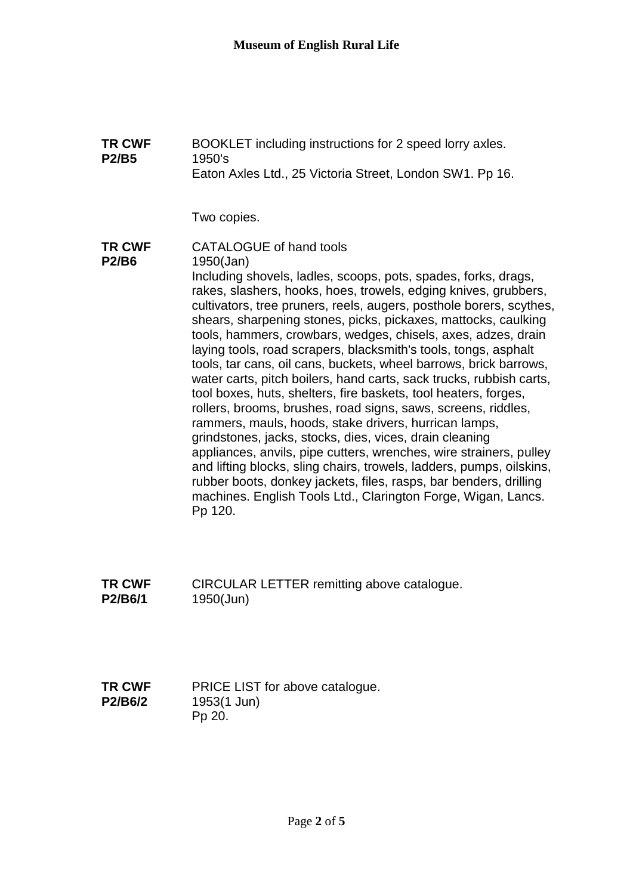**TR CWF P2/B5** BOOKLET including instructions for 2 speed lorry axles. 1950's Eaton Axles Ltd., 25 Victoria Street, London SW1. Pp 16. Two copies. **TR CWF P2/B6** CATALOGUE of hand tools 1950(Jan) Including shovels, ladles, scoops, pots, spades, forks, drags, rakes, slashers, hooks, hoes, trowels, edging knives, grubbers, cultivators, tree pruners, reels, augers, posthole borers, scythes, shears, sharpening stones, picks, pickaxes, mattocks, caulking tools, hammers, crowbars, wedges, chisels, axes, adzes, drain laying tools, road scrapers, blacksmith's tools, tongs, asphalt tools, tar cans, oil cans, buckets, wheel barrows, brick barrows, water carts, pitch boilers, hand carts, sack trucks, rubbish carts, tool boxes, huts, shelters, fire baskets, tool heaters, forges, rollers, brooms, brushes, road signs, saws, screens, riddles, rammers, mauls, hoods, stake drivers, hurrican lamps, grindstones, jacks, stocks, dies, vices, drain cleaning appliances, anvils, pipe cutters, wrenches, wire strainers, pulley and lifting blocks, sling chairs, trowels, ladders, pumps, oilskins,

rubber boots, donkey jackets, files, rasps, bar benders, drilling machines. English Tools Ltd., Clarington Forge, Wigan, Lancs. Pp 120.

**TR CWF P2/B6/1** CIRCULAR LETTER remitting above catalogue. 1950(Jun)

**TR CWF P2/B6/2** PRICE LIST for above catalogue. 1953(1 Jun) Pp 20.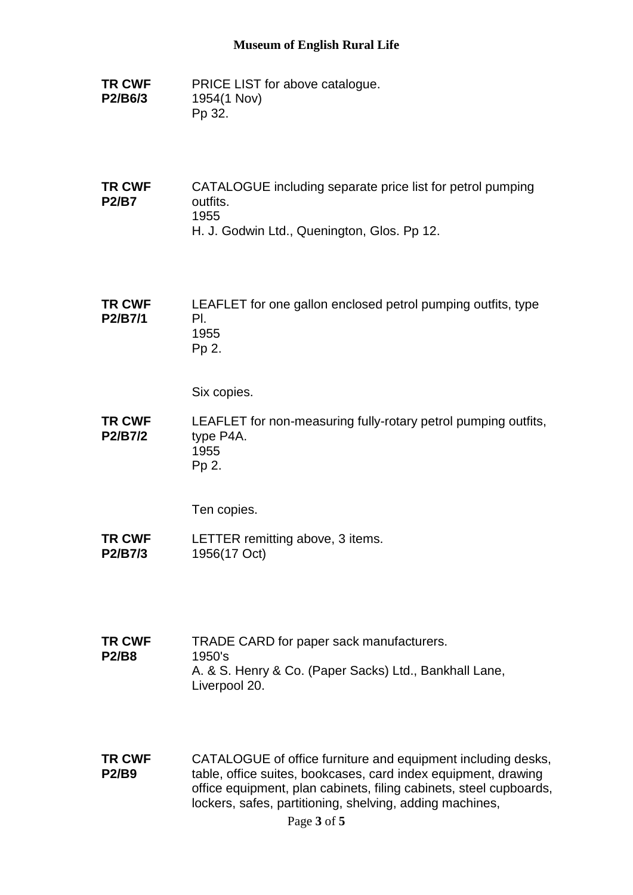## **Museum of English Rural Life**

- **TR CWF P2/B6/3** PRICE LIST for above catalogue. 1954(1 Nov) Pp 32.
- **TR CWF P2/B7** CATALOGUE including separate price list for petrol pumping outfits. 1955 H. J. Godwin Ltd., Quenington, Glos. Pp 12.

**TR CWF P2/B7/1** LEAFLET for one gallon enclosed petrol pumping outfits, type Pl. 1955 Pp 2.

Six copies.

**TR CWF P2/B7/2** LEAFLET for non-measuring fully-rotary petrol pumping outfits, type P4A. 1955 Pp 2.

Ten copies.

- **TR CWF P2/B7/3** LETTER remitting above, 3 items. 1956(17 Oct)
- **TR CWF P2/B8** TRADE CARD for paper sack manufacturers. 1950's A. & S. Henry & Co. (Paper Sacks) Ltd., Bankhall Lane, Liverpool 20.
- **TR CWF P2/B9** CATALOGUE of office furniture and equipment including desks, table, office suites, bookcases, card index equipment, drawing office equipment, plan cabinets, filing cabinets, steel cupboards, lockers, safes, partitioning, shelving, adding machines,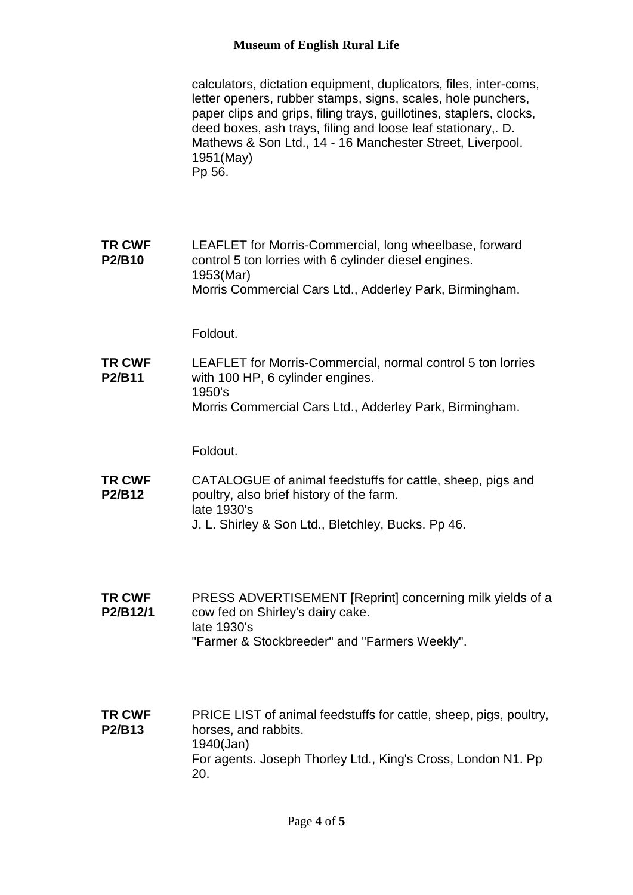## **Museum of English Rural Life**

calculators, dictation equipment, duplicators, files, inter-coms, letter openers, rubber stamps, signs, scales, hole punchers, paper clips and grips, filing trays, guillotines, staplers, clocks, deed boxes, ash trays, filing and loose leaf stationary,. D. Mathews & Son Ltd., 14 - 16 Manchester Street, Liverpool. 1951(May) Pp 56.

**TR CWF P2/B10** LEAFLET for Morris-Commercial, long wheelbase, forward control 5 ton lorries with 6 cylinder diesel engines. 1953(Mar) Morris Commercial Cars Ltd., Adderley Park, Birmingham.

Foldout.

**TR CWF P2/B11** LEAFLET for Morris-Commercial, normal control 5 ton lorries with 100 HP, 6 cylinder engines. 1950's Morris Commercial Cars Ltd., Adderley Park, Birmingham.

Foldout.

- **TR CWF P2/B12** CATALOGUE of animal feedstuffs for cattle, sheep, pigs and poultry, also brief history of the farm. late 1930's J. L. Shirley & Son Ltd., Bletchley, Bucks. Pp 46.
- **TR CWF P2/B12/1** PRESS ADVERTISEMENT [Reprint] concerning milk yields of a cow fed on Shirley's dairy cake. late 1930's "Farmer & Stockbreeder" and "Farmers Weekly".
- **TR CWF P2/B13** PRICE LIST of animal feedstuffs for cattle, sheep, pigs, poultry, horses, and rabbits. 1940(Jan) For agents. Joseph Thorley Ltd., King's Cross, London N1. Pp 20.